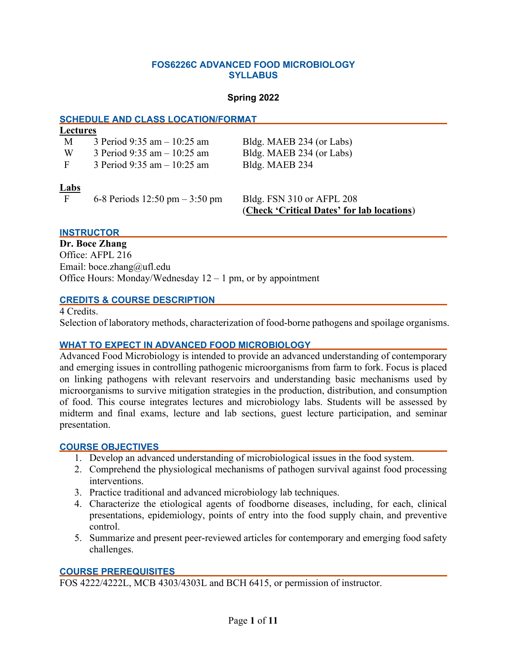### **FOS6226C ADVANCED FOOD MICROBIOLOGY SYLLABUS**

### **Spring 2022**

### **SCHEDULE AND CLASS LOCATION/FORMAT**

|  | Lectures |  |
|--|----------|--|
|  |          |  |

| M | 3 Period 9:35 am $- 10:25$ am | Bldg. MAEB 234 (or Labs) |  |
|---|-------------------------------|--------------------------|--|
|   |                               |                          |  |

W 3 Period  $9:35$  am  $-10:25$  am Bldg. MAEB 234 (or Labs)

F 3 Period 9:35 am – 10:25 am Bldg. MAEB 234

**Labs**

F 6-8 Periods 12:50 pm – 3:50 pm Bldg. FSN 310 or AFPL 208

(**Check 'Critical Dates' for lab locations**)

### **INSTRUCTOR**

**Dr. Boce Zhang** Office: AFPL 216 Email: boce.zhang@ufl.edu Office Hours: Monday/Wednesday  $12 - 1$  pm, or by appointment

### **CREDITS & COURSE DESCRIPTION**

4 Credits. Selection of laboratory methods, characterization of food-borne pathogens and spoilage organisms.

# **WHAT TO EXPECT IN ADVANCED FOOD MICROBIOLOGY**

Advanced Food Microbiology is intended to provide an advanced understanding of contemporary and emerging issues in controlling pathogenic microorganisms from farm to fork. Focus is placed on linking pathogens with relevant reservoirs and understanding basic mechanisms used by microorganisms to survive mitigation strategies in the production, distribution, and consumption of food. This course integrates lectures and microbiology labs. Students will be assessed by midterm and final exams, lecture and lab sections, guest lecture participation, and seminar presentation.

### **COURSE OBJECTIVES**

- 1. Develop an advanced understanding of microbiological issues in the food system.
- 2. Comprehend the physiological mechanisms of pathogen survival against food processing interventions.
- 3. Practice traditional and advanced microbiology lab techniques.
- 4. Characterize the etiological agents of foodborne diseases, including, for each, clinical presentations, epidemiology, points of entry into the food supply chain, and preventive control.
- 5. Summarize and present peer-reviewed articles for contemporary and emerging food safety challenges.

### **COURSE PREREQUISITES**

FOS 4222/4222L, MCB 4303/4303L and BCH 6415, or permission of instructor.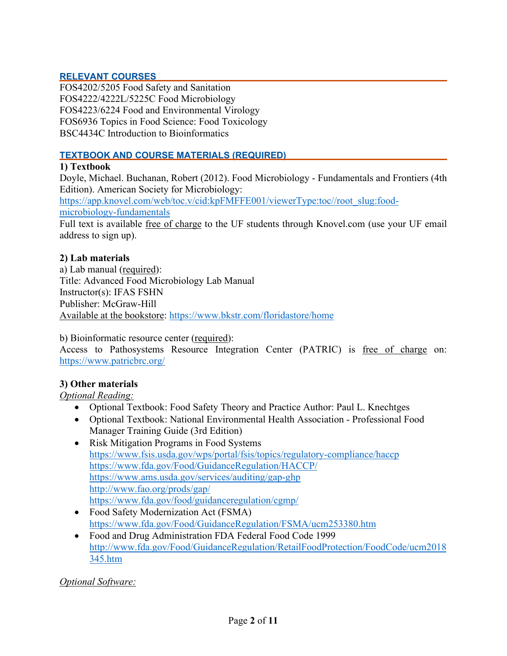## **RELEVANT COURSES**

FOS4202/5205 Food Safety and Sanitation FOS4222/4222L/5225C Food Microbiology FOS4223/6224 Food and Environmental Virology FOS6936 Topics in Food Science: Food Toxicology BSC4434C Introduction to Bioinformatics

### **TEXTBOOK AND COURSE MATERIALS (REQUIRED)**

### **1) Textbook**

Doyle, Michael. Buchanan, Robert (2012). Food Microbiology - Fundamentals and Frontiers (4th Edition). American Society for Microbiology: [https://app.knovel.com/web/toc.v/cid:kpFMFFE001/viewerType:toc//root\\_slug:food](https://app.knovel.com/web/toc.v/cid:kpFMFFE001/viewerType:toc/root_slug:food-microbiology-fundamentals)[microbiology-fundamentals](https://app.knovel.com/web/toc.v/cid:kpFMFFE001/viewerType:toc/root_slug:food-microbiology-fundamentals) Full text is available free of charge to the UF students through Knovel.com (use your UF email address to sign up).

### **2) Lab materials**

a) Lab manual (required): Title: Advanced Food Microbiology Lab Manual Instructor(s): IFAS FSHN Publisher: McGraw-Hill Available at the bookstore:<https://www.bkstr.com/floridastore/home>

b) Bioinformatic resource center (required):

Access to Pathosystems Resource Integration Center (PATRIC) is free of charge on: <https://www.patricbrc.org/>

### **3) Other materials**

*Optional Reading:*

- Optional Textbook: Food Safety Theory and Practice Author: Paul L. Knechtges
- Optional Textbook: National Environmental Health Association Professional Food Manager Training Guide (3rd Edition)
- Risk Mitigation Programs in Food Systems <https://www.fsis.usda.gov/wps/portal/fsis/topics/regulatory-compliance/haccp> <https://www.fda.gov/Food/GuidanceRegulation/HACCP/> <https://www.ams.usda.gov/services/auditing/gap-ghp> <http://www.fao.org/prods/gap/> <https://www.fda.gov/food/guidanceregulation/cgmp/>
- Food Safety Modernization Act (FSMA) <https://www.fda.gov/Food/GuidanceRegulation/FSMA/ucm253380.htm>
- Food and Drug Administration FDA Federal Food Code 1999 [http://www.fda.gov/Food/GuidanceRegulation/RetailFoodProtection/FoodCode/ucm2018](http://www.fda.gov/Food/GuidanceRegulation/RetailFoodProtection/FoodCode/ucm2018345.htm) [345.htm](http://www.fda.gov/Food/GuidanceRegulation/RetailFoodProtection/FoodCode/ucm2018345.htm)

# *Optional Software:*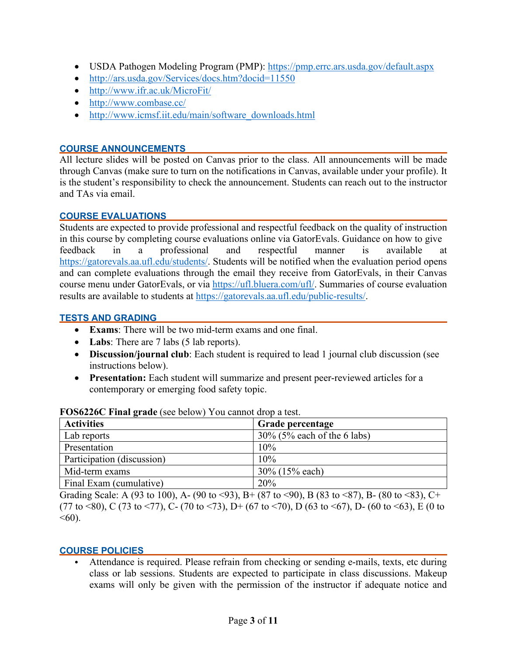- USDA Pathogen Modeling Program (PMP):<https://pmp.errc.ars.usda.gov/default.aspx>
- <http://ars.usda.gov/Services/docs.htm?docid=11550>
- <http://www.ifr.ac.uk/MicroFit/>
- <http://www.combase.cc/>
- [http://www.icmsf.iit.edu/main/software\\_downloads.html](http://www.icmsf.iit.edu/main/software_downloads.html)

## **COURSE ANNOUNCEMENTS**

All lecture slides will be posted on Canvas prior to the class. All announcements will be made through Canvas (make sure to turn on the notifications in Canvas, available under your profile). It is the student's responsibility to check the announcement. Students can reach out to the instructor and TAs via email.

### **COURSE EVALUATIONS**

Students are expected to provide professional and respectful feedback on the quality of instruction in this course by completing course evaluations online via GatorEvals. Guidance on how to give feedback in a professional and respectful manner is available at [https://gatorevals.aa.ufl.edu/students/.](https://gatorevals.aa.ufl.edu/students/) Students will be notified when the evaluation period opens and can complete evaluations through the email they receive from GatorEvals, in their Canvas course menu under GatorEvals, or via [https://ufl.bluera.com/ufl/.](https://ufl.bluera.com/ufl/) Summaries of course evaluation results are available to students at [https://gatorevals.aa.ufl.edu/public-results/.](https://gatorevals.aa.ufl.edu/public-results/)

### **TESTS AND GRADING**

- **Exams**: There will be two mid-term exams and one final.
- Labs: There are 7 labs (5 lab reports).
- **Discussion/journal club**: Each student is required to lead 1 journal club discussion (see instructions below).
- **Presentation:** Each student will summarize and present peer-reviewed articles for a contemporary or emerging food safety topic.

| <b>Activities</b>          | Grade percentage               |
|----------------------------|--------------------------------|
| Lab reports                | $30\%$ (5% each of the 6 labs) |
| Presentation               | 10%                            |
| Participation (discussion) | 10%                            |
| Mid-term exams             | 30% (15% each)                 |
| Final Exam (cumulative)    | 20%                            |

# **FOS6226C Final grade** (see below) You cannot drop a test.

Grading Scale: A (93 to 100), A- (90 to <93), B+ (87 to <90), B (83 to <87), B- (80 to <83), C+ (77 to <80), C (73 to <77), C- (70 to <73), D+ (67 to <70), D (63 to <67), D- (60 to <63), E (0 to  $<60$ ).

# **COURSE POLICIES**

• Attendance is required. Please refrain from checking or sending e-mails, texts, etc during class or lab sessions. Students are expected to participate in class discussions. Makeup exams will only be given with the permission of the instructor if adequate notice and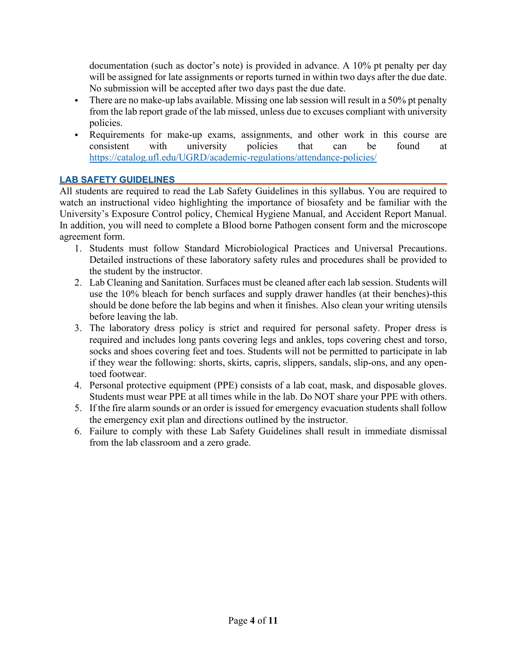documentation (such as doctor's note) is provided in advance. A 10% pt penalty per day will be assigned for late assignments or reports turned in within two days after the due date. No submission will be accepted after two days past the due date.

- There are no make-up labs available. Missing one lab session will result in a 50% pt penalty from the lab report grade of the lab missed, unless due to excuses compliant with university policies.
- Requirements for make-up exams, assignments, and other work in this course are consistent with university policies that can be found at <https://catalog.ufl.edu/UGRD/academic-regulations/attendance-policies/>

# **LAB SAFETY GUIDELINES**

All students are required to read the Lab Safety Guidelines in this syllabus. You are required to watch an instructional video highlighting the importance of biosafety and be familiar with the University's Exposure Control policy, Chemical Hygiene Manual, and Accident Report Manual. In addition, you will need to complete a Blood borne Pathogen consent form and the microscope agreement form.

- 1. Students must follow Standard Microbiological Practices and Universal Precautions. Detailed instructions of these laboratory safety rules and procedures shall be provided to the student by the instructor.
- 2. Lab Cleaning and Sanitation. Surfaces must be cleaned after each lab session. Students will use the 10% bleach for bench surfaces and supply drawer handles (at their benches)-this should be done before the lab begins and when it finishes. Also clean your writing utensils before leaving the lab.
- 3. The laboratory dress policy is strict and required for personal safety. Proper dress is required and includes long pants covering legs and ankles, tops covering chest and torso, socks and shoes covering feet and toes. Students will not be permitted to participate in lab if they wear the following: shorts, skirts, capris, slippers, sandals, slip-ons, and any opentoed footwear.
- 4. Personal protective equipment (PPE) consists of a lab coat, mask, and disposable gloves. Students must wear PPE at all times while in the lab. Do NOT share your PPE with others.
- 5. If the fire alarm sounds or an order is issued for emergency evacuation students shall follow the emergency exit plan and directions outlined by the instructor.
- 6. Failure to comply with these Lab Safety Guidelines shall result in immediate dismissal from the lab classroom and a zero grade.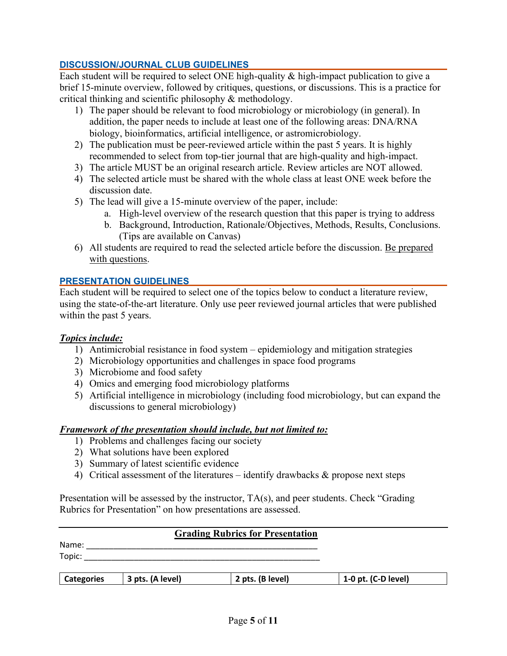# **DISCUSSION/JOURNAL CLUB GUIDELINES**

Each student will be required to select ONE high-quality & high-impact publication to give a brief 15-minute overview, followed by critiques, questions, or discussions. This is a practice for critical thinking and scientific philosophy & methodology.

- 1) The paper should be relevant to food microbiology or microbiology (in general). In addition, the paper needs to include at least one of the following areas: DNA/RNA biology, bioinformatics, artificial intelligence, or astromicrobiology.
- 2) The publication must be peer-reviewed article within the past 5 years. It is highly recommended to select from top-tier journal that are high-quality and high-impact.
- 3) The article MUST be an original research article. Review articles are NOT allowed.
- 4) The selected article must be shared with the whole class at least ONE week before the discussion date.
- 5) The lead will give a 15-minute overview of the paper, include:
	- a. High-level overview of the research question that this paper is trying to address
	- b. Background, Introduction, Rationale/Objectives, Methods, Results, Conclusions. (Tips are available on Canvas)
- 6) All students are required to read the selected article before the discussion. Be prepared with questions.

# **PRESENTATION GUIDELINES**

Each student will be required to select one of the topics below to conduct a literature review, using the state-of-the-art literature. Only use peer reviewed journal articles that were published within the past 5 years.

# *Topics include:*

- 1) Antimicrobial resistance in food system epidemiology and mitigation strategies
- 2) Microbiology opportunities and challenges in space food programs
- 3) Microbiome and food safety
- 4) Omics and emerging food microbiology platforms
- 5) Artificial intelligence in microbiology (including food microbiology, but can expand the discussions to general microbiology)

# *Framework of the presentation should include, but not limited to:*

- 1) Problems and challenges facing our society
- 2) What solutions have been explored
- 3) Summary of latest scientific evidence
- 4) Critical assessment of the literatures identify drawbacks & propose next steps

Presentation will be assessed by the instructor, TA(s), and peer students. Check "Grading Rubrics for Presentation" on how presentations are assessed.

# **Grading Rubrics for Presentation**

Name: \_\_\_\_\_\_\_\_\_\_\_\_\_\_\_\_\_\_\_\_\_\_\_\_\_\_\_\_\_\_\_\_\_\_\_\_\_\_\_\_\_\_\_\_\_\_\_\_\_\_\_  $\text{Topic:}\quad \textcolor{red}{\overbrace{\text{Topic:}\text{purple:}}}$ 

| 3 pts. (A level)<br><b>Categories</b> | 2 pts. (B level) | 1-0 pt. $(C-D$ level) |
|---------------------------------------|------------------|-----------------------|
|---------------------------------------|------------------|-----------------------|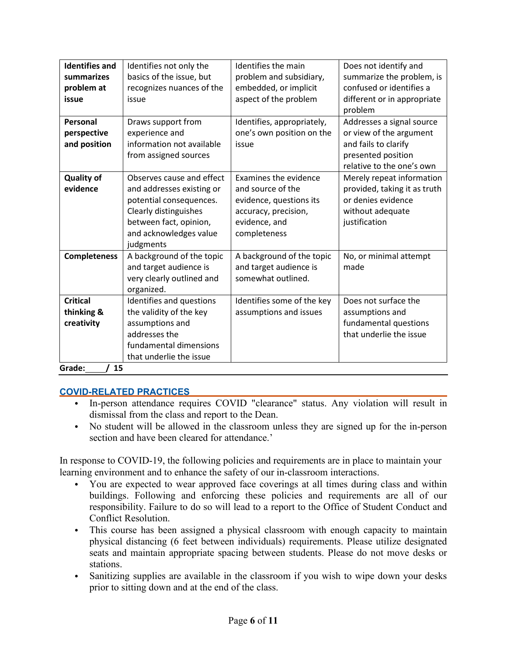| <b>Identifies and</b> | Identifies not only the   | Identifies the main        | Does not identify and        |
|-----------------------|---------------------------|----------------------------|------------------------------|
| summarizes            | basics of the issue, but  | problem and subsidiary,    | summarize the problem, is    |
| problem at            | recognizes nuances of the | embedded, or implicit      | confused or identifies a     |
| issue                 | issue                     | aspect of the problem      | different or in appropriate  |
|                       |                           |                            | problem                      |
| Personal              | Draws support from        | Identifies, appropriately, | Addresses a signal source    |
| perspective           | experience and            | one's own position on the  | or view of the argument      |
| and position          | information not available | issue                      | and fails to clarify         |
|                       | from assigned sources     |                            | presented position           |
|                       |                           |                            | relative to the one's own    |
| <b>Quality of</b>     | Observes cause and effect | Examines the evidence      | Merely repeat information    |
| evidence              | and addresses existing or | and source of the          | provided, taking it as truth |
|                       | potential consequences.   | evidence, questions its    | or denies evidence           |
|                       | Clearly distinguishes     | accuracy, precision,       | without adequate             |
|                       | between fact, opinion,    | evidence, and              | justification                |
|                       | and acknowledges value    | completeness               |                              |
|                       | judgments                 |                            |                              |
| <b>Completeness</b>   | A background of the topic | A background of the topic  | No, or minimal attempt       |
|                       | and target audience is    | and target audience is     | made                         |
|                       | very clearly outlined and | somewhat outlined.         |                              |
|                       | organized.                |                            |                              |
| <b>Critical</b>       | Identifies and questions  | Identifies some of the key | Does not surface the         |
| thinking &            | the validity of the key   | assumptions and issues     | assumptions and              |
| creativity            | assumptions and           |                            | fundamental questions        |
|                       | addresses the             |                            | that underlie the issue      |
|                       | fundamental dimensions    |                            |                              |
|                       | that underlie the issue   |                            |                              |
| Crodo:<br>/ 1 E       |                           |                            |                              |

Grade:\_\_*\_\_\_/* 15

# **COVID-RELATED PRACTICES**

- In-person attendance requires COVID "clearance" status. Any violation will result in dismissal from the class and report to the Dean.
- No student will be allowed in the classroom unless they are signed up for the in-person section and have been cleared for attendance.'

In response to COVID-19, the following policies and requirements are in place to maintain your learning environment and to enhance the safety of our in-classroom interactions.

- You are expected to wear approved face coverings at all times during class and within buildings. Following and enforcing these policies and requirements are all of our responsibility. Failure to do so will lead to a report to the Office of Student Conduct and Conflict Resolution.
- This course has been assigned a physical classroom with enough capacity to maintain physical distancing (6 feet between individuals) requirements. Please utilize designated seats and maintain appropriate spacing between students. Please do not move desks or stations.
- Sanitizing supplies are available in the classroom if you wish to wipe down your desks prior to sitting down and at the end of the class.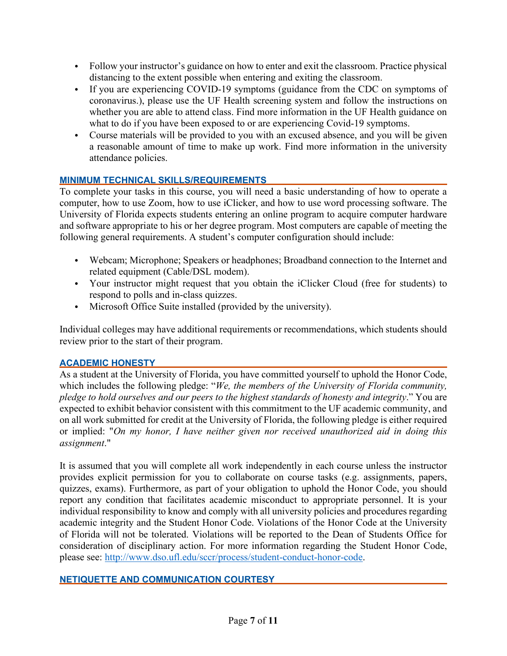- Follow your instructor's guidance on how to enter and exit the classroom. Practice physical distancing to the extent possible when entering and exiting the classroom.
- If you are experiencing COVID-19 symptoms (guidance from the CDC on symptoms of coronavirus.), please use the UF Health screening system and follow the instructions on whether you are able to attend class. Find more information in the UF Health guidance on what to do if you have been exposed to or are experiencing Covid-19 symptoms.
- Course materials will be provided to you with an excused absence, and you will be given a reasonable amount of time to make up work. Find more information in the university attendance policies.

# **MINIMUM TECHNICAL SKILLS/REQUIREMENTS**

To complete your tasks in this course, you will need a basic understanding of how to operate a computer, how to use Zoom, how to use iClicker, and how to use word processing software. The University of Florida expects students entering an online program to acquire computer hardware and software appropriate to his or her degree program. Most computers are capable of meeting the following general requirements. A student's computer configuration should include:

- Webcam; Microphone; Speakers or headphones; Broadband connection to the Internet and related equipment (Cable/DSL modem).
- Your instructor might request that you obtain the iClicker Cloud (free for students) to respond to polls and in-class quizzes.
- Microsoft Office Suite installed (provided by the university).

Individual colleges may have additional requirements or recommendations, which students should review prior to the start of their program.

# **ACADEMIC HONESTY**

As a student at the University of Florida, you have committed yourself to uphold the Honor Code, which includes the following pledge: "*We, the members of the University of Florida community, pledge to hold ourselves and our peers to the highest standards of honesty and integrity*." You are expected to exhibit behavior consistent with this commitment to the UF academic community, and on all work submitted for credit at the University of Florida, the following pledge is either required or implied: "*On my honor, I have neither given nor received unauthorized aid in doing this assignment*."

It is assumed that you will complete all work independently in each course unless the instructor provides explicit permission for you to collaborate on course tasks (e.g. assignments, papers, quizzes, exams). Furthermore, as part of your obligation to uphold the Honor Code, you should report any condition that facilitates academic misconduct to appropriate personnel. It is your individual responsibility to know and comply with all university policies and procedures regarding academic integrity and the Student Honor Code. Violations of the Honor Code at the University of Florida will not be tolerated. Violations will be reported to the Dean of Students Office for consideration of disciplinary action. For more information regarding the Student Honor Code, please see: [http://www.dso.ufl.edu/sccr/process/student-conduct-honor-code.](http://www.dso.ufl.edu/sccr/process/student-conduct-honor-code)

### **NETIQUETTE AND COMMUNICATION COURTESY**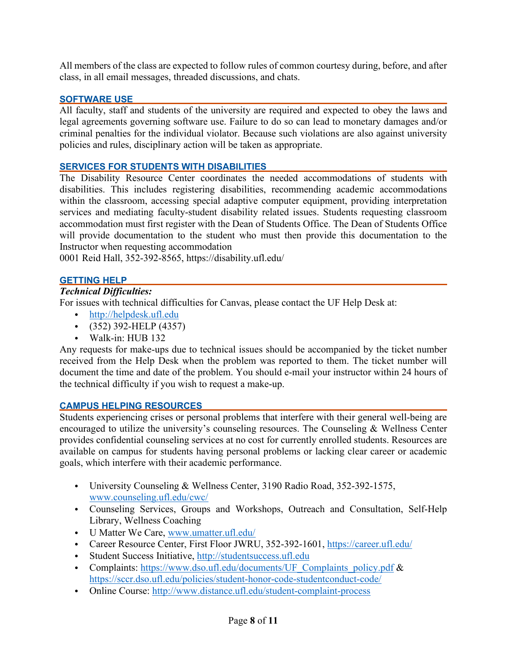All members of the class are expected to follow rules of common courtesy during, before, and after class, in all email messages, threaded discussions, and chats.

### **SOFTWARE USE**

All faculty, staff and students of the university are required and expected to obey the laws and legal agreements governing software use. Failure to do so can lead to monetary damages and/or criminal penalties for the individual violator. Because such violations are also against university policies and rules, disciplinary action will be taken as appropriate.

### **SERVICES FOR STUDENTS WITH DISABILITIES**

The Disability Resource Center coordinates the needed accommodations of students with disabilities. This includes registering disabilities, recommending academic accommodations within the classroom, accessing special adaptive computer equipment, providing interpretation services and mediating faculty-student disability related issues. Students requesting classroom accommodation must first register with the Dean of Students Office. The Dean of Students Office will provide documentation to the student who must then provide this documentation to the Instructor when requesting accommodation

0001 Reid Hall, 352-392-8565, https://disability.ufl.edu/

### **GETTING HELP**

## *Technical Difficulties:*

For issues with technical difficulties for Canvas, please contact the UF Help Desk at:

- [http://helpdesk.ufl.edu](http://helpdesk.ufl.edu/)
- (352) 392-HELP (4357)
- Walk-in: HUB 132

Any requests for make-ups due to technical issues should be accompanied by the ticket number received from the Help Desk when the problem was reported to them. The ticket number will document the time and date of the problem. You should e-mail your instructor within 24 hours of the technical difficulty if you wish to request a make-up.

### **CAMPUS HELPING RESOURCES**

Students experiencing crises or personal problems that interfere with their general well-being are encouraged to utilize the university's counseling resources. The Counseling & Wellness Center provides confidential counseling services at no cost for currently enrolled students. Resources are available on campus for students having personal problems or lacking clear career or academic goals, which interfere with their academic performance.

- University Counseling & Wellness Center, 3190 Radio Road, 352-392-1575, [www.counseling.ufl.edu/cwc/](http://www.counseling.ufl.edu/cwc/)
- Counseling Services, Groups and Workshops, Outreach and Consultation, Self-Help Library, Wellness Coaching
- U Matter We Care, [www.umatter.ufl.edu/](http://www.umatter.ufl.edu/)
- Career Resource Center, First Floor JWRU, 352-392-1601,<https://career.ufl.edu/>
- Student Success Initiative, [http://studentsuccess.ufl.edu](http://studentsuccess.ufl.edu/)
- Complaints: [https://www.dso.ufl.edu/documents/UF\\_Complaints\\_policy.pdf](https://www.dso.ufl.edu/documents/UF_Complaints_policy.pdf) & <https://sccr.dso.ufl.edu/policies/student-honor-code-studentconduct-code/>
- Online Course:<http://www.distance.ufl.edu/student-complaint-process>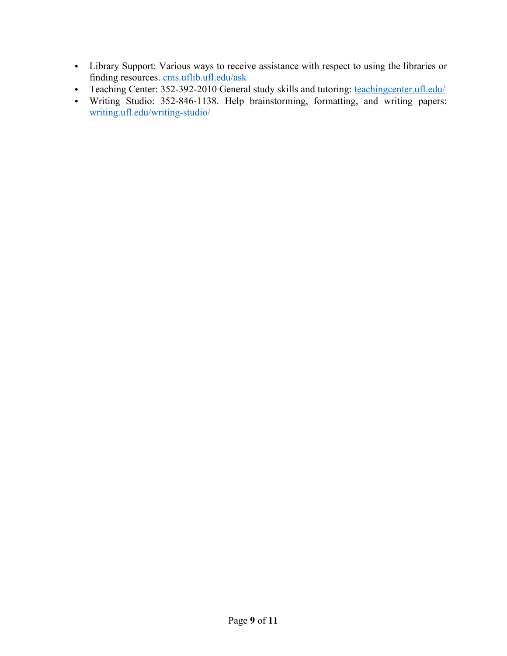- Library Support: Various ways to receive assistance with respect to using the libraries or finding resources. cms.uflib.ufl.edu/ask
- Teaching Center: 352-392-2010 General study skills and tutoring: teachingcenter.ufl.edu/
- Writing Studio: 352-846-1138. Help brainstorming, formatting, and writing papers: writing.ufl.edu/writing-studio/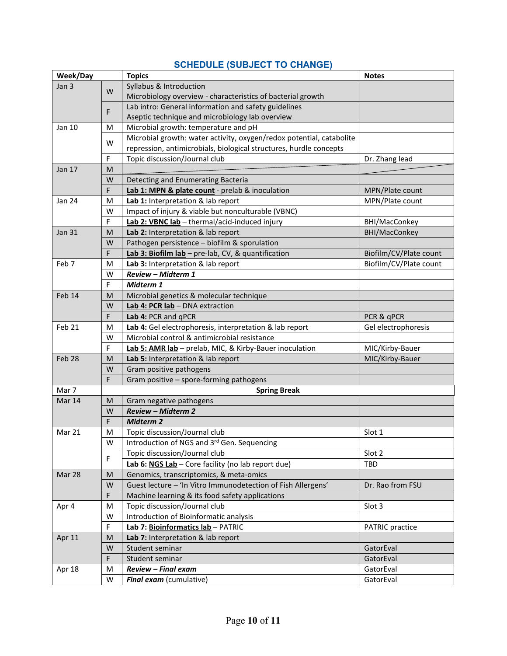| Week/Day         |        | <b>Topics</b>                                                        | <b>Notes</b>           |  |
|------------------|--------|----------------------------------------------------------------------|------------------------|--|
| Jan <sub>3</sub> | W<br>F | Syllabus & Introduction                                              |                        |  |
|                  |        | Microbiology overview - characteristics of bacterial growth          |                        |  |
|                  |        | Lab intro: General information and safety guidelines                 |                        |  |
|                  |        | Aseptic technique and microbiology lab overview                      |                        |  |
| Jan 10           | M      | Microbial growth: temperature and pH                                 |                        |  |
|                  | W      | Microbial growth: water activity, oxygen/redox potential, catabolite |                        |  |
|                  |        | repression, antimicrobials, biological structures, hurdle concepts   |                        |  |
|                  | F      | Topic discussion/Journal club                                        | Dr. Zhang lead         |  |
| Jan 17           | M      |                                                                      |                        |  |
|                  | W      | Detecting and Enumerating Bacteria                                   |                        |  |
|                  | F      | Lab 1: MPN & plate count - prelab & inoculation                      | MPN/Plate count        |  |
| Jan 24           | M      | Lab 1: Interpretation & lab report                                   | MPN/Plate count        |  |
|                  | W      | Impact of injury & viable but nonculturable (VBNC)                   |                        |  |
|                  | F      | Lab 2: VBNC lab - thermal/acid-induced injury                        | BHI/MacConkey          |  |
| <b>Jan 31</b>    | M      | Lab 2: Interpretation & lab report                                   | BHI/MacConkey          |  |
|                  | W      | Pathogen persistence - biofilm & sporulation                         |                        |  |
|                  | F      | Lab 3: Biofilm lab - pre-lab, CV, & quantification                   | Biofilm/CV/Plate count |  |
| Feb 7            | M      | Lab 3: Interpretation & lab report                                   | Biofilm/CV/Plate count |  |
|                  | W      | <b>Review - Midterm 1</b>                                            |                        |  |
|                  | F      | Midterm 1                                                            |                        |  |
| Feb 14           | M      | Microbial genetics & molecular technique                             |                        |  |
|                  | W      | Lab 4: PCR lab - DNA extraction                                      |                        |  |
|                  | F      | Lab 4: PCR and qPCR                                                  | PCR & qPCR             |  |
| Feb 21           | M      | Lab 4: Gel electrophoresis, interpretation & lab report              | Gel electrophoresis    |  |
|                  | W<br>F | Microbial control & antimicrobial resistance                         |                        |  |
|                  |        | Lab 5: AMR lab - prelab, MIC, & Kirby-Bauer inoculation              | MIC/Kirby-Bauer        |  |
| Feb 28           | M<br>W | Lab 5: Interpretation & lab report<br>Gram positive pathogens        | MIC/Kirby-Bauer        |  |
|                  | F      | Gram positive - spore-forming pathogens                              |                        |  |
| Mar 7            |        | <b>Spring Break</b>                                                  |                        |  |
| Mar 14           | M      | Gram negative pathogens                                              |                        |  |
|                  | W      | <b>Review - Midterm 2</b>                                            |                        |  |
|                  | F      | <b>Midterm 2</b>                                                     |                        |  |
| Mar 21           | M      | Topic discussion/Journal club                                        | Slot 1                 |  |
|                  | W      | Introduction of NGS and 3rd Gen. Sequencing                          |                        |  |
|                  |        | Topic discussion/Journal club                                        | Slot 2                 |  |
|                  | F      | Lab 6: NGS Lab - Core facility (no lab report due)                   | TBD                    |  |
| Mar 28           | M      | Genomics, transcriptomics, & meta-omics                              |                        |  |
|                  | W      | Guest lecture - 'In Vitro Immunodetection of Fish Allergens'         | Dr. Rao from FSU       |  |
|                  | F      | Machine learning & its food safety applications                      |                        |  |
| Apr 4            | M      | Topic discussion/Journal club                                        | Slot 3                 |  |
|                  | W      | Introduction of Bioinformatic analysis                               |                        |  |
|                  | F      | Lab 7: Bioinformatics lab - PATRIC                                   | <b>PATRIC</b> practice |  |
| Apr 11           | M      | Lab 7: Interpretation & lab report                                   |                        |  |
|                  | W      | Student seminar                                                      | GatorEval              |  |
|                  | F      | Student seminar                                                      | GatorEval              |  |
| Apr 18           | M      | Review - Final exam                                                  | GatorEval              |  |
|                  | W      | Final exam (cumulative)                                              | GatorEval              |  |

# **SCHEDULE (SUBJECT TO CHANGE)**